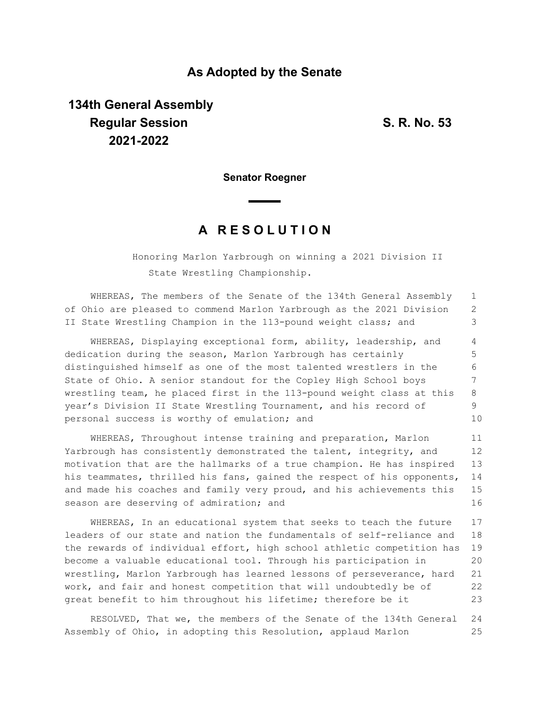## **As Adopted by the Senate**

## **134th General Assembly Regular Session S. R. No. 53 2021-2022**

**Senator Roegner**

## **A R E S O L U T I O N**

Honoring Marlon Yarbrough on winning a 2021 Division II State Wrestling Championship.

WHEREAS, The members of the Senate of the 134th General Assembly of Ohio are pleased to commend Marlon Yarbrough as the 2021 Division II State Wrestling Champion in the 113-pound weight class; and 1 2 3

WHEREAS, Displaying exceptional form, ability, leadership, and dedication during the season, Marlon Yarbrough has certainly distinguished himself as one of the most talented wrestlers in the State of Ohio. A senior standout for the Copley High School boys wrestling team, he placed first in the 113-pound weight class at this year's Division II State Wrestling Tournament, and his record of personal success is worthy of emulation; and 4 5 6 7 8 9 10

WHEREAS, Throughout intense training and preparation, Marlon Yarbrough has consistently demonstrated the talent, integrity, and motivation that are the hallmarks of a true champion. He has inspired his teammates, thrilled his fans, gained the respect of his opponents, and made his coaches and family very proud, and his achievements this season are deserving of admiration; and 11 12 13 14 15 16

WHEREAS, In an educational system that seeks to teach the future leaders of our state and nation the fundamentals of self-reliance and the rewards of individual effort, high school athletic competition has become a valuable educational tool. Through his participation in wrestling, Marlon Yarbrough has learned lessons of perseverance, hard work, and fair and honest competition that will undoubtedly be of great benefit to him throughout his lifetime; therefore be it 17 18 19 20 21 22 23

RESOLVED, That we, the members of the Senate of the 134th General Assembly of Ohio, in adopting this Resolution, applaud Marlon 24 25